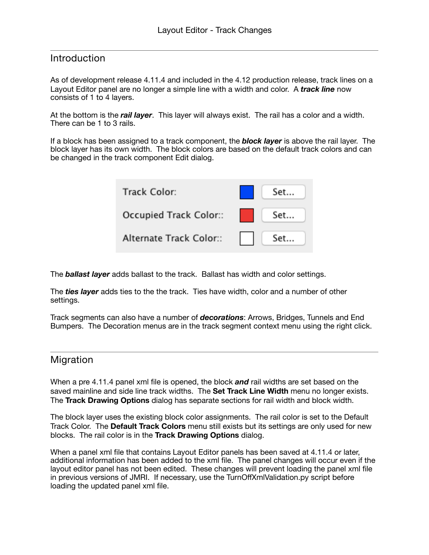#### Introduction

As of development release 4.11.4 and included in the 4.12 production release, track lines on a Layout Editor panel are no longer a simple line with a width and color. A *track line* now consists of 1 to 4 layers.

At the bottom is the *rail layer*. This layer will always exist. The rail has a color and a width. There can be 1 to 3 rails.

If a block has been assigned to a track component, the *block layer* is above the rail layer. The block layer has its own width. The block colors are based on the default track colors and can be changed in the track component Edit dialog.

| Track Color:                   | $\blacksquare$ Set |
|--------------------------------|--------------------|
| Occupied Track Color:     Set  |                    |
| Alternate Track Color:     Set |                    |

The *ballast layer* adds ballast to the track. Ballast has width and color settings.

The *ties layer* adds ties to the the track. Ties have width, color and a number of other settings.

Track segments can also have a number of *decorations*: Arrows, Bridges, Tunnels and End Bumpers. The Decoration menus are in the track segment context menu using the right click.

#### Migration

When a pre 4.11.4 panel xml file is opened, the block *and* rail widths are set based on the saved mainline and side line track widths. The **Set Track Line Width** menu no longer exists. The **Track Drawing Options** dialog has separate sections for rail width and block width.

The block layer uses the existing block color assignments. The rail color is set to the Default Track Color. The **Default Track Colors** menu still exists but its settings are only used for new blocks. The rail color is in the **Track Drawing Options** dialog.

When a panel xml file that contains Layout Editor panels has been saved at 4.11.4 or later, additional information has been added to the xml file. The panel changes will occur even if the layout editor panel has not been edited. These changes will prevent loading the panel xml file in previous versions of JMRI. If necessary, use the TurnOffXmlValidation.py script before loading the updated panel xml file.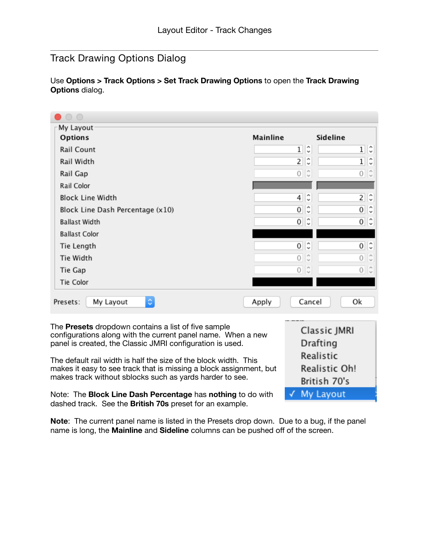# Track Drawing Options Dialog

Use **Options > Track Options > Set Track Drawing Options** to open the **Track Drawing Options** dialog.

| $\circ$                                                                                                                        |                |                          |
|--------------------------------------------------------------------------------------------------------------------------------|----------------|--------------------------|
| My Layout                                                                                                                      |                |                          |
| Options                                                                                                                        | Mainline       | Sideline                 |
| Rail Count                                                                                                                     | $\mathbf{1}$   | C<br>¢<br>$\mathbf{1}$   |
| Rail Width                                                                                                                     | $\overline{2}$ | IС<br>C<br>1             |
| Rail Gap                                                                                                                       | $\circ$        | C<br>$0\degree$          |
| Rail Color                                                                                                                     |                |                          |
| Block Line Width                                                                                                               | 4              | C<br>¢<br>$\mathbf{2}$   |
| Block Line Dash Percentage (x10)                                                                                               | 0              | ે<br>્<br>0              |
| <b>Ballast Width</b>                                                                                                           | $\circ$        | IС<br>$0\degree$         |
| <b>Ballast Color</b>                                                                                                           |                |                          |
| Tie Length                                                                                                                     | 0              | IС<br>C<br>$\mathbf{O}$  |
| Tie Width                                                                                                                      | $\circ$        | 0<br>$\sim$              |
| Tie Gap                                                                                                                        |                | $0\degree$<br>$0\degree$ |
| Tie Color                                                                                                                      |                |                          |
| $\Diamond$<br>My Layout<br>Presets:                                                                                            | Apply          | Cancel<br>Οk             |
| The Presets dropdown contains a list of five sample<br>configurations along with the current panel name $M_{\text{max}}$ a new |                | Classic JMRI             |

The **Presets** dropdown contains a list of five sample configurations along with the current panel name. When a new panel is created, the Classic JMRI configuration is used.

The default rail width is half the size of the block width. This makes it easy to see track that is missing a block assignment, but makes track without sblocks such as yards harder to see.

Note: The **Block Line Dash Percentage** has **nothing** to do with dashed track. See the **British 70s** preset for an example.

**Note**: The current panel name is listed in the Presets drop down. Due to a bug, if the panel name is long, the **Mainline** and **Sideline** columns can be pushed off of the screen.

Drafting Realistic

√ My Layout

Realistic Oh! British 70's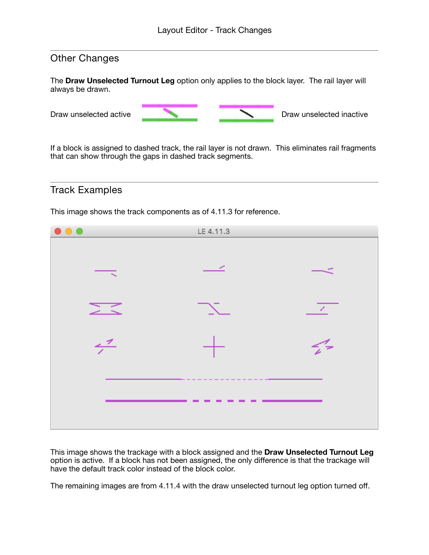## Other Changes

The **Draw Unselected Turnout Leg** option only applies to the block layer. The rail layer will always be drawn.



If a block is assigned to dashed track, the rail layer is not drawn. This eliminates rail fragments that can show through the gaps in dashed track segments.

### Track Examples

This image shows the track components as of 4.11.3 for reference.



This image shows the trackage with a block assigned and the **Draw Unselected Turnout Leg** option is active. If a block has not been assigned, the only difference is that the trackage will have the default track color instead of the block color.

The remaining images are from 4.11.4 with the draw unselected turnout leg option turned off.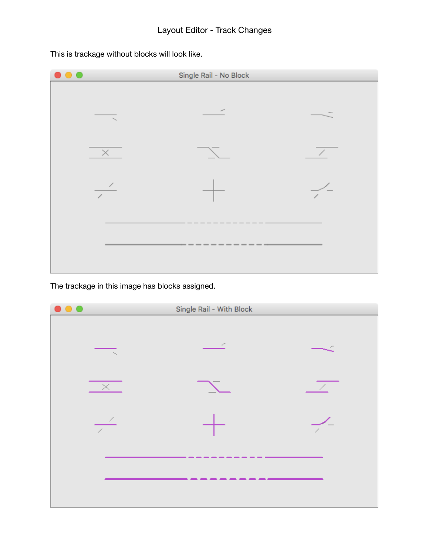

This is trackage without blocks will look like.

The trackage in this image has blocks assigned.